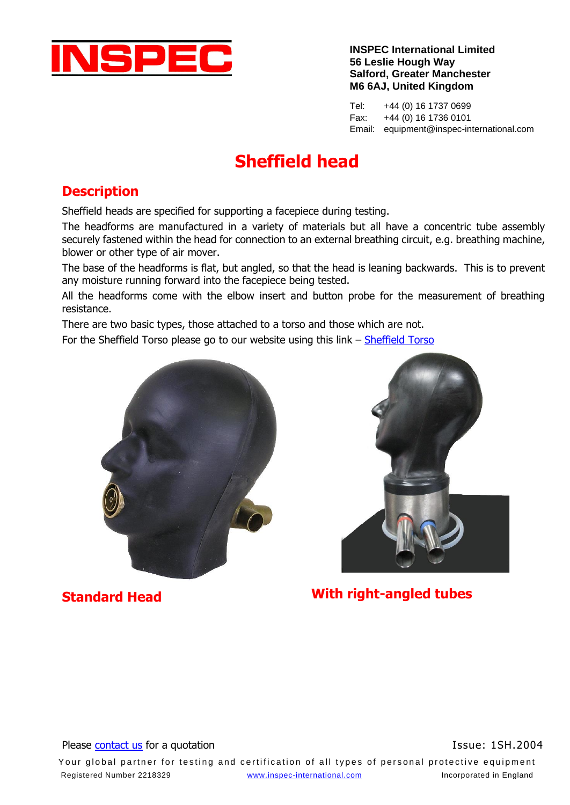

**INSPEC International Limited 56 Leslie Hough Way Salford, Greater Manchester M6 6AJ, United Kingdom**

Tel: +44 (0) 16 1737 0699 Fax: +44 (0) 16 1736 0101 Email: equipment@inspec-international.com

# **Sheffield head**

### **Description**

Sheffield heads are specified for supporting a facepiece during testing.

The headforms are manufactured in a variety of materials but all have a concentric tube assembly securely fastened within the head for connection to an external breathing circuit, e.g. breathing machine, blower or other type of air mover.

The base of the headforms is flat, but angled, so that the head is leaning backwards. This is to prevent any moisture running forward into the facepiece being tested.

All the headforms come with the elbow insert and button probe for the measurement of breathing resistance.

There are two basic types, those attached to a torso and those which are not.

For the Sheffield Torso please go to our website using this link – [Sheffield Torso](http://www.inspec-international.com/INSPECUK/images/pdf/Equipment/Respiratory/Torso%20with%20Sheffield%20head.pdf)





**Standard Head With right-angled tubes**

#### Please [contact us](http://www.inspec-international.com/equipment/enquiry) for a quotation **Issue: 1SH.2004** Issue: 1SH.2004

Your global partner for testing and certification of all types of personal protective equipment Registered Number 2218329 [www.inspec-international.com](http://www.inspec-international.com/) Incorporated in England